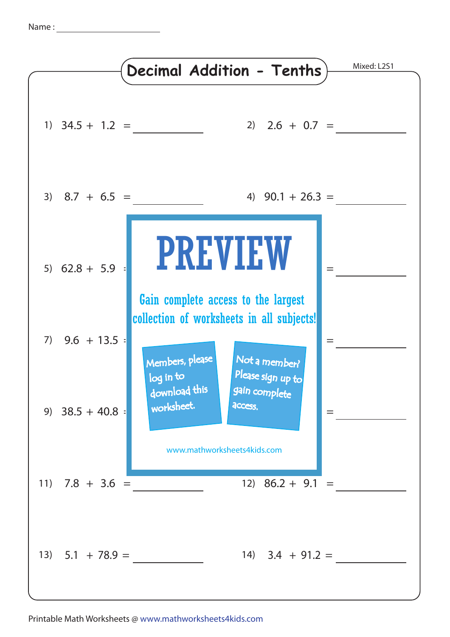